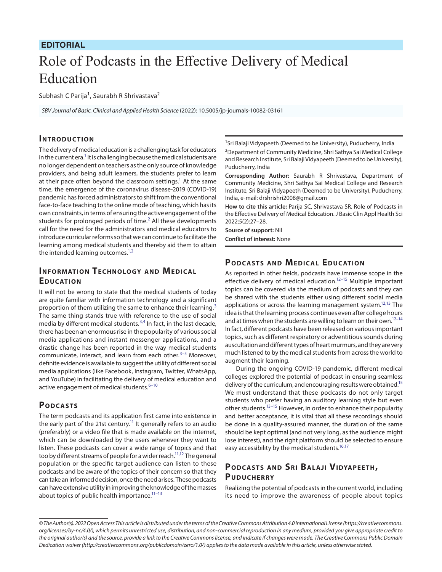### **EDITORIAL**

# Role of Podcasts in the Effective Delivery of Medical Education

Subhash C Parija<sup>1</sup>, Saurabh R Shrivastava<sup>2</sup>

*SBV Journal of Basic, Clinical and Applied Health Science* (2022): 10.5005/jp-journals-10082-03161

#### **INTRODUCTION**

The delivery of medical education is a challenging task for educators in the current era.<sup>1</sup> It is challenging because the medical students are no longer dependent on teachers as the only source of knowledge providers, and being adult learners, the students prefer to learn at their pace often beyond the classroom settings.<sup>1</sup> At the same time, the emergence of the coronavirus disease-2019 (COVID-19) pandemic has forced administrators to shift from the conventional face-to-face teaching to the online mode of teaching, which has its own constraints, in terms of ensuring the active engagement of the students for prolonged periods of time. $<sup>2</sup>$  $<sup>2</sup>$  $<sup>2</sup>$  All these developments</sup> call for the need for the administrators and medical educators to introduce curricular reforms so that we can continue to facilitate the learning among medical students and thereby aid them to attain the intended learning outcomes. $1,2$  $1,2$ 

## **INFORMATION TECHNOLOGY AND MEDICAL EDUCATION**

It will not be wrong to state that the medical students of today are quite familiar with information technology and a significant proportion of them utilizing the same to enhance their learning.<sup>[3](#page-1-2)</sup> The same thing stands true with reference to the use of social media by different medical students.<sup>[3,](#page-1-2)[4](#page-1-3)</sup> In fact, in the last decade, there has been an enormous rise in the popularity of various social media applications and instant messenger applications, and a drastic change has been reported in the way medical students communicate, interact, and learn from each other.<sup>[3](#page-1-2)-[5](#page-1-4)</sup> Moreover, definite evidence is available to suggest the utility of different social media applications (like Facebook, Instagram, Twitter, WhatsApp, and YouTube) in facilitating the delivery of medical education and active engagement of medical students. $6-10$  $6-10$ 

#### **POD CASTS**

The term podcasts and its application first came into existence in the early part of the 21st century.<sup>11</sup> It generally refers to an audio (preferably) or a video file that is made available on the internet, which can be downloaded by the users whenever they want to listen. These podcasts can cover a wide range of topics and that too by different streams of people for a wider reach.<sup>11,12</sup> The general population or the specific target audience can listen to these podcasts and be aware of the topics of their concern so that they can take an informed decision, once the need arises. These podcasts can have extensive utility in improving the knowledge of the masses about topics of public health importance.<sup>11-[13](#page-1-9)</sup>

<sup>1</sup>Sri Balaji Vidyapeeth (Deemed to be University), Puducherry, India

<sup>2</sup>Department of Community Medicine, Shri Sathya Sai Medical College and Research Institute, Sri Balaji Vidyapeeth (Deemed to be University), Puducherry, India

**Corresponding Author:** Saurabh R Shrivastava, Department of Community Medicine, Shri Sathya Sai Medical College and Research Institute, Sri Balaji Vidyapeeth (Deemed to be University), Puducherry, India, e-mail: drshrishri2008@gmail.com

**How to cite this article:** Parija SC, Shrivastava SR. Role of Podcasts in the Effective Delivery of Medical Education. J Basic Clin Appl Health Sci 2022;5(2):27–28.

**Source of support:** Nil **Conflict of interest:** None

# **PODCASTS AND MEDICAL EDUCATION**

As reported in other fields, podcasts have immense scope in the effective delivery of medical education.<sup>12-15</sup> Multiple important topics can be covered via the medium of podcasts and they can be shared with the students either using different social media applications or across the learning management system.<sup>12[,13](#page-1-9)</sup> The idea is that the learning process continues even after college hours and at times when the students are willing to learn on their own. $12-14$ In fact, different podcasts have been released on various important topics, such as different respiratory or adventitious sounds during auscultation and different types of heart murmurs, and they are very much listened to by the medical students from across the world to augment their learning.

During the ongoing COVID-19 pandemic, different medical colleges explored the potential of podcast in ensuring seamless delivery of the curriculum, and encouraging results were obtained.<sup>15</sup> We must understand that these podcasts do not only target students who prefer having an auditory learning style but even other students.<sup>13-15</sup> However, in order to enhance their popularity and better acceptance, it is vital that all these recordings should be done in a quality-assured manner, the duration of the same should be kept optimal (and not very long, as the audience might lose interest), and the right platform should be selected to ensure easy accessibility by the medical students.<sup>16[,17](#page-1-13)</sup>

# **POD CASTS AND SRI BALAJI VIDYAPEETH, PUDUCHERRY**

Realizing the potential of podcasts in the current world, including its need to improve the awareness of people about topics

*<sup>©</sup> The Author(s). 2022 Open Access This article is distributed under the terms of the Creative Commons Attribution 4.0 International License ([https://creativecommons.](https://creativecommons.org/licenses/by-nc/4.0/) [org/licenses/by-nc/4.0/](https://creativecommons.org/licenses/by-nc/4.0/)), which permits unrestricted use, distribution, and non-commercial reproduction in any medium, provided you give appropriate credit to the original author(s) and the source, provide a link to the Creative Commons license, and indicate if changes were made. The Creative Commons Public Domain Dedication waiver ([http://creativecommons.org/publicdomain/zero/1.0/\)](http://creativecommons.org/publicdomain/zero/1.0/) applies to the data made available in this article, unless otherwise stated.*